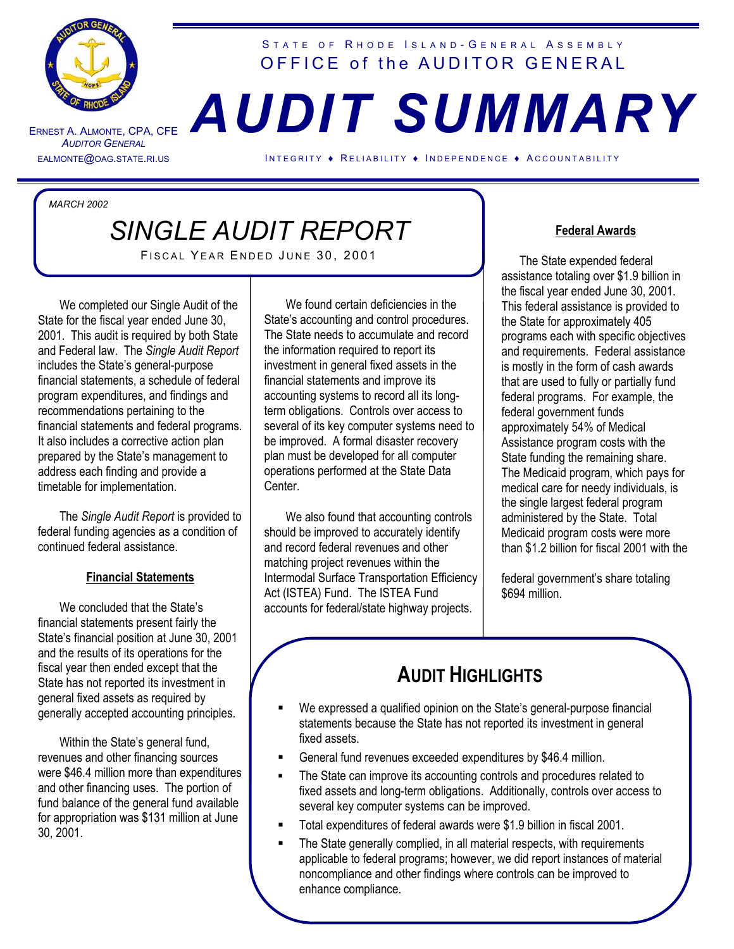

ERNEST A. ALMONTE *A UDITOR GENERAL*

#### STATE OF RHODE ISLAND-GENERAL ASSEMBLY OFFICE of the AUDITOR GENERAL

# , CPA, CFE *AUDIT SUMMARY*

EALMONTE@OAG.STATE.RI.US INTEGRITY ♦ RELIABILITY ♦ INDEPENDENCE ♦ ACCOUNTABILITY

*MARCH 2002*

## *SINGLE AUDIT REPORT*

i

FISCAL YEAR ENDED JUNE 30, 2001

We completed our Single Audit of the State for the fiscal year ended June 30, 2001. This audit is required by both State and Federal law. The *Single Audit Report* includes the State's general-purpose financial statements, a schedule of federal program expenditures, and findings and recommendations pertaining to the financial statements and federal programs. It also includes a corrective action plan prepared by the State's management to address each finding and provide a timetable for implementation.

The *Single Audit Report* is provided to federal funding agencies as a condition of continued federal assistance.

#### **Financial Statements**

We concluded that the State's financial statements present fairly the State's financial position at June 30, 2001 and the results of its operations for the fiscal year then ended except that the State has not reported its investment in general fixed assets as required by generally accepted accounting principles.

Within the State's general fund, revenues and other financing sources were \$46.4 million more than expenditures and other financing uses. The portion of fund balance of the general fund available for appropriation was \$131 million at June 30, 2001.

We found certain deficiencies in the State's accounting and control procedures. The State needs to accumulate and record the information required to report its investment in general fixed assets in the financial statements and improve its accounting systems to record all its longterm obligations. Controls over access to several of its key computer systems need to be improved. A formal disaster recovery plan must be developed for all computer operations performed at the State Data Center.

We also found that accounting controls should be improved to accurately identify and record federal revenues and other matching project revenues within the Intermodal Surface Transportation Efficiency Act (ISTEA) Fund. The ISTEA Fund accounts for federal/state highway projects.

#### **Federal Awards**

 The State expended federal assistance totaling over \$1.9 billion in the fiscal year ended June 30, 2001. This federal assistance is provided to the State for approximately 405 programs each with specific objectives and requirements. Federal assistance is mostly in the form of cash awards that are used to fully or partially fund federal programs. For example, the federal government funds approximately 54% of Medical Assistance program costs with the State funding the remaining share. The Medicaid program, which pays for medical care for needy individuals, is the single largest federal program administered by the State. Total Medicaid program costs were more than \$1.2 billion for fiscal 2001 with the

federal government's share totaling \$694 million.

## **AUDIT HIGHLIGHTS**

- We expressed a qualified opinion on the State's general-purpose financial statements because the State has not reported its investment in general fixed assets.
- General fund revenues exceeded expenditures by \$46.4 million.
- The State can improve its accounting controls and procedures related to fixed assets and long-term obligations. Additionally, controls over access to several key computer systems can be improved.
- Total expenditures of federal awards were \$1.9 billion in fiscal 2001.
- The State generally complied, in all material respects, with requirements applicable to federal programs; however, we did report instances of material noncompliance and other findings where controls can be improved to enhance compliance.